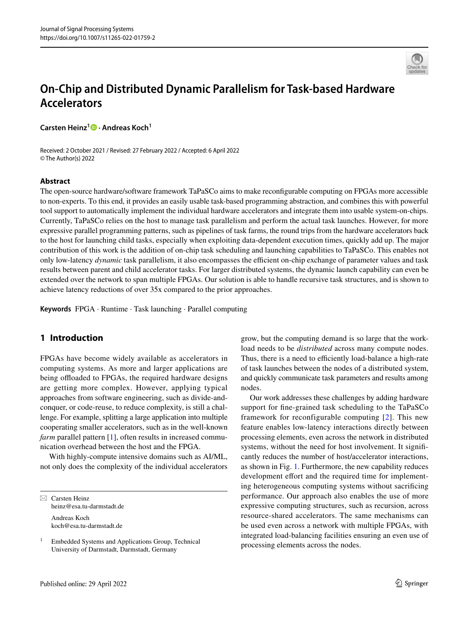

# **On‑Chip and Distributed Dynamic Parallelism for Task‑based Hardware Accelerators**

**Carsten Heinz1 · Andreas Koch1**

Received: 2 October 2021 / Revised: 27 February 2022 / Accepted: 6 April 2022 © The Author(s) 2022

#### **Abstract**

The open-source hardware/software framework TaPaSCo aims to make reconfgurable computing on FPGAs more accessible to non-experts. To this end, it provides an easily usable task-based programming abstraction, and combines this with powerful tool support to automatically implement the individual hardware accelerators and integrate them into usable system-on-chips. Currently, TaPaSCo relies on the host to manage task parallelism and perform the actual task launches. However, for more expressive parallel programming patterns, such as pipelines of task farms, the round trips from the hardware accelerators back to the host for launching child tasks, especially when exploiting data-dependent execution times, quickly add up. The major contribution of this work is the addition of on-chip task scheduling and launching capabilities to TaPaSCo. This enables not only low-latency *dynamic* task parallelism, it also encompasses the efficient on-chip exchange of parameter values and task results between parent and child accelerator tasks. For larger distributed systems, the dynamic launch capability can even be extended over the network to span multiple FPGAs. Our solution is able to handle recursive task structures, and is shown to achieve latency reductions of over 35x compared to the prior approaches.

**Keywords** FPGA · Runtime · Task launching · Parallel computing

# **1 Introduction**

FPGAs have become widely available as accelerators in computing systems. As more and larger applications are being offloaded to FPGAs, the required hardware designs are getting more complex. However, applying typical approaches from software engineering, such as divide-andconquer, or code-reuse, to reduce complexity, is still a challenge. For example, splitting a large application into multiple cooperating smaller accelerators, such as in the well-known *farm* parallel pattern [\[1](#page-9-0)], often results in increased communication overhead between the host and the FPGA.

With highly-compute intensive domains such as AI/ML, not only does the complexity of the individual accelerators

 $\boxtimes$  Carsten Heinz heinz@esa.tu-darmstadt.de Andreas Koch koch@esa.tu-darmstadt.de

<sup>1</sup> Embedded Systems and Applications Group, Technical University of Darmstadt, Darmstadt, Germany

grow, but the computing demand is so large that the workload needs to be *distributed* across many compute nodes. Thus, there is a need to efficiently load-balance a high-rate of task launches between the nodes of a distributed system, and quickly communicate task parameters and results among nodes.

Our work addresses these challenges by adding hardware support for fne-grained task scheduling to the TaPaSCo framework for reconfigurable computing [\[2\]](#page-9-1). This new feature enables low-latency interactions directly between processing elements, even across the network in distributed systems, without the need for host involvement. It signifcantly reduces the number of host/accelerator interactions, as shown in Fig. [1](#page-1-0). Furthermore, the new capability reduces development effort and the required time for implementing heterogeneous computing systems without sacrifcing performance. Our approach also enables the use of more expressive computing structures, such as recursion, across resource-shared accelerators. The same mechanisms can be used even across a network with multiple FPGAs, with integrated load-balancing facilities ensuring an even use of processing elements across the nodes.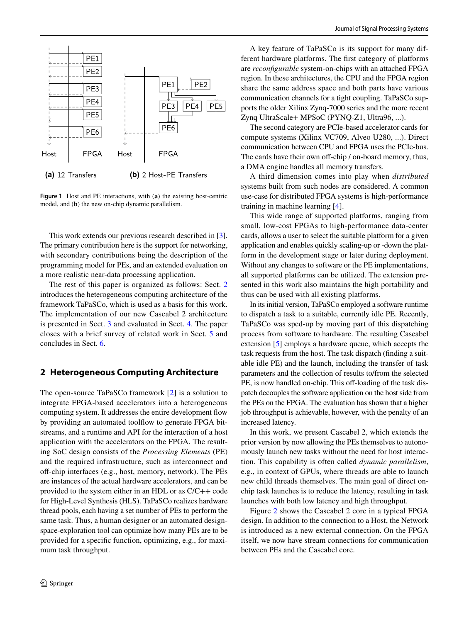

<span id="page-1-0"></span>**Figure 1** Host and PE interactions, with (**a**) the existing host-centric model, and (**b**) the new on-chip dynamic parallelism.

This work extends our previous research described in [\[3](#page-9-2)]. The primary contribution here is the support for networking, with secondary contributions being the description of the programming model for PEs, and an extended evaluation on a more realistic near-data processing application.

The rest of this paper is organized as follows: Sect. [2](#page-1-1) introduces the heterogeneous computing architecture of the framework TaPaSCo, which is used as a basis for this work. The implementation of our new Cascabel 2 architecture is presented in Sect. [3](#page-2-0) and evaluated in Sect. [4](#page-5-0). The paper closes with a brief survey of related work in Sect. [5](#page-8-0) and concludes in Sect. [6.](#page-9-3)

### <span id="page-1-1"></span>**2 Heterogeneous Computing Architecture**

The open-source TaPaSCo framework [[2\]](#page-9-1) is a solution to integrate FPGA-based accelerators into a heterogeneous computing system. It addresses the entire development fow by providing an automated toolfow to generate FPGA bitstreams, and a runtime and API for the interaction of a host application with the accelerators on the FPGA. The resulting SoC design consists of the *Processing Elements* (PE) and the required infrastructure, such as interconnect and off-chip interfaces (e.g., host, memory, network). The PEs are instances of the actual hardware accelerators, and can be provided to the system either in an HDL or as C/C++ code for High-Level Synthesis (HLS). TaPaSCo realizes hardware thread pools, each having a set number of PEs to perform the same task. Thus, a human designer or an automated designspace-exploration tool can optimize how many PEs are to be provided for a specifc function, optimizing, e.g., for maximum task throughput.

A key feature of TaPaSCo is its support for many different hardware platforms. The frst category of platforms are *reconfgurable* system-on-chips with an attached FPGA region. In these architectures, the CPU and the FPGA region share the same address space and both parts have various communication channels for a tight coupling. TaPaSCo supports the older Xilinx Zynq-7000 series and the more recent Zynq UltraScale+ MPSoC (PYNQ-Z1, Ultra96, ...).

The second category are PCIe-based accelerator cards for compute systems (Xilinx VC709, Alveo U280, ...). Direct communication between CPU and FPGA uses the PCIe-bus. The cards have their own off-chip / on-board memory, thus, a DMA engine handles all memory transfers.

A third dimension comes into play when *distributed* systems built from such nodes are considered. A common use-case for distributed FPGA systems is high-performance training in machine learning [[4](#page-9-4)].

This wide range of supported platforms, ranging from small, low-cost FPGAs to high-performance data-center cards, allows a user to select the suitable platform for a given application and enables quickly scaling-up or -down the platform in the development stage or later during deployment. Without any changes to software or the PE implementations, all supported platforms can be utilized. The extension presented in this work also maintains the high portability and thus can be used with all existing platforms.

In its initial version, TaPaSCo employed a software runtime to dispatch a task to a suitable, currently idle PE. Recently, TaPaSCo was sped-up by moving part of this dispatching process from software to hardware. The resulting Cascabel extension [\[5](#page-9-5)] employs a hardware queue, which accepts the task requests from the host. The task dispatch (fnding a suitable idle PE) and the launch, including the transfer of task parameters and the collection of results to/from the selected PE, is now handled on-chip. This off-loading of the task dispatch decouples the software application on the host side from the PEs on the FPGA. The evaluation has shown that a higher job throughput is achievable, however, with the penalty of an increased latency.

In this work, we present Cascabel 2, which extends the prior version by now allowing the PEs themselves to autonomously launch new tasks without the need for host interaction. This capability is often called *dynamic parallelism*, e.g., in context of GPUs, where threads are able to launch new child threads themselves. The main goal of direct onchip task launches is to reduce the latency, resulting in task launches with both low latency and high throughput.

Figure [2](#page-2-1) shows the Cascabel 2 core in a typical FPGA design. In addition to the connection to a Host, the Network is introduced as a new external connection. On the FPGA itself, we now have stream connections for communication between PEs and the Cascabel core.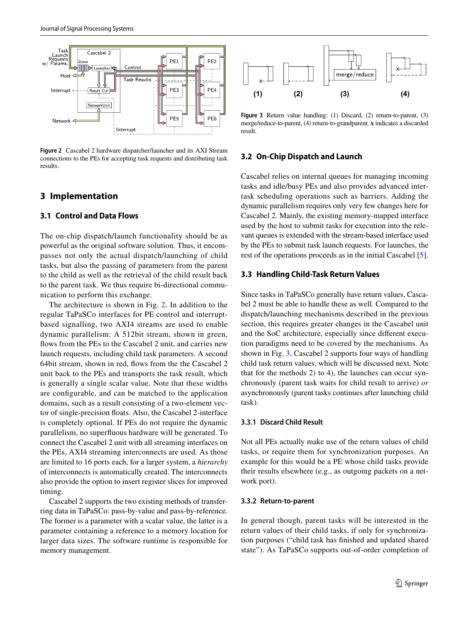

<span id="page-2-1"></span>**Figure 2** Cascabel 2 hardware dispatcher/launcher and its AXI Stream connections to the PEs for accepting task requests and distributing task results.

### <span id="page-2-0"></span>**3 Implementation**

### **3.1 Control and Data Flows**

The on-chip dispatch/launch functionality should be as powerful as the original software solution. Thus, it encompasses not only the actual dispatch/launching of child tasks, but also the passing of parameters from the parent to the child as well as the retrieval of the child result back to the parent task. We thus require bi-directional communication to perform this exchange.

The architecture is shown in Fig. [2](#page-2-1). In addition to the regular TaPaSCo interfaces for PE control and interruptbased signalling, two AXI4 streams are used to enable dynamic parallelism: A 512bit stream, shown in green, flows from the PEs to the Cascabel 2 unit, and carries new launch requests, including child task parameters. A second 64bit stream, shown in red, fows from the the Cascabel 2 unit back to the PEs and transports the task result, which is generally a single scalar value. Note that these widths are confgurable, and can be matched to the application domains, such as a result consisting of a two-element vector of single-precision foats. Also, the Cascabel 2-interface is completely optional. If PEs do not require the dynamic parallelism, no superfuous hardware will be generated. To connect the Cascabel 2 unit with all streaming interfaces on the PEs, AXI4 streaming interconnects are used. As those are limited to 16 ports each, for a larger system, a *hierarchy* of interconnects is automatically created. The interconnects also provide the option to insert register slices for improved timing.

Cascabel 2 supports the two existing methods of transferring data in TaPaSCo: pass-by-value and pass-by-reference. The former is a parameter with a scalar value, the latter is a parameter containing a reference to a memory location for larger data sizes. The software runtime is responsible for memory management.



<span id="page-2-2"></span>**Figure 3** Return value handling: (1) Discard, (2) return-to-parent, (3) merge/reduce-to-parent, (4) return-to-grandparent. **x** indicates a discarded result.

#### **3.2 On‑Chip Dispatch and Launch**

Cascabel relies on internal queues for managing incoming tasks and idle/busy PEs and also provides advanced intertask scheduling operations such as barriers. Adding the dynamic parallelism requires only very few changes here for Cascabel 2. Mainly, the existing memory-mapped interface used by the host to submit tasks for execution into the relevant queues is extended with the stream-based interface used by the PEs to submit task launch requests. For launches, the rest of the operations proceeds as in the initial Cascabel [\[5](#page-9-5)].

### **3.3 Handling Child‑Task Return Values**

Since tasks in TaPaSCo generally have return values, Cascabel 2 must be able to handle these as well. Compared to the dispatch/launching mechanisms described in the previous section, this requires greater changes in the Cascabel unit and the SoC architecture, especially since diferent execution paradigms need to be covered by the mechanisms. As shown in Fig. [3](#page-2-2), Cascabel 2 supports four ways of handling child task return values, which will be discussed next. Note that for the methods 2) to 4), the launches can occur synchronously (parent task waits for child result to arrive) *or* asynchronously (parent tasks continues after launching child task).

#### **3.3.1 Discard Child Result**

Not all PEs actually make use of the return values of child tasks, or require them for synchronization purposes. An example for this would be a PE whose child tasks provide their results elsewhere (e.g., as outgoing packets on a network port).

#### **3.3.2 Return‑to‑parent**

In general though, parent tasks will be interested in the return values of their child tasks, if only for synchronization purposes ("child task has fnished and updated shared state"). As TaPaSCo supports out-of-order completion of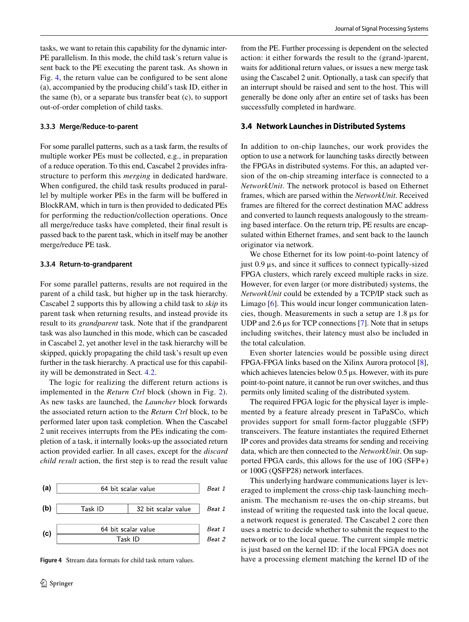tasks, we want to retain this capability for the dynamic inter-PE parallelism. In this mode, the child task's return value is sent back to the PE executing the parent task. As shown in Fig. [4](#page-3-0), the return value can be confgured to be sent alone (a), accompanied by the producing child's task ID, either in the same (b), or a separate bus transfer beat (c), to support out-of-order completion of child tasks.

#### <span id="page-3-1"></span>**3.3.3 Merge/Reduce‑to‑parent**

For some parallel patterns, such as a task farm, the results of multiple worker PEs must be collected, e.g., in preparation of a reduce operation. To this end, Cascabel 2 provides infrastructure to perform this *merging* in dedicated hardware. When configured, the child task results produced in parallel by multiple worker PEs in the farm will be bufered in BlockRAM, which in turn is then provided to dedicated PEs for performing the reduction/collection operations. Once all merge/reduce tasks have completed, their fnal result is passed back to the parent task, which in itself may be another merge/reduce PE task.

#### **3.3.4 Return‑to‑grandparent**

For some parallel patterns, results are not required in the parent of a child task, but higher up in the task hierarchy. Cascabel 2 supports this by allowing a child task to *skip* its parent task when returning results, and instead provide its result to its *grandparent* task. Note that if the grandparent task was also launched in this mode, which can be cascaded in Cascabel 2, yet another level in the task hierarchy will be skipped, quickly propagating the child task's result up even further in the task hierarchy. A practical use for this capability will be demonstrated in Sect. [4.2](#page-6-0).

The logic for realizing the diferent return actions is implemented in the *Return Ctrl* block (shown in Fig. [2](#page-2-1)). As new tasks are launched, the *Launcher* block forwards the associated return action to the *Return Ctrl* block, to be performed later upon task completion. When the Cascabel 2 unit receives interrupts from the PEs indicating the completion of a task, it internally looks-up the associated return action provided earlier. In all cases, except for the *discard child result* action, the frst step is to read the result value



<span id="page-3-0"></span>**Figure 4** Stream data formats for child task return values.

from the PE. Further processing is dependent on the selected action: it either forwards the result to the (grand-)parent, waits for additional return values, or issues a new merge task using the Cascabel 2 unit. Optionally, a task can specify that an interrupt should be raised and sent to the host. This will generally be done only after an entire set of tasks has been successfully completed in hardware.

#### **3.4 Network Launches in Distributed Systems**

In addition to on-chip launches, our work provides the option to use a network for launching tasks directly between the FPGAs in distributed systems. For this, an adapted version of the on-chip streaming interface is connected to a *NetworkUnit*. The network protocol is based on Ethernet frames, which are parsed within the *NetworkUnit*. Received frames are fltered for the correct destination MAC address and converted to launch requests analogously to the streaming based interface. On the return trip, PE results are encapsulated within Ethernet frames, and sent back to the launch originator via network.

We chose Ethernet for its low point-to-point latency of just  $0.9 \mu s$ , and since it suffices to connect typically-sized FPGA clusters, which rarely exceed multiple racks in size. However, for even larger (or more distributed) systems, the *NetworkUnit* could be extended by a TCP/IP stack such as Limago [\[6](#page-9-6)]. This would incur longer communication latencies, though. Measurements in such a setup are 1.8 μs for UDP and  $2.6 \mu s$  for TCP connections [[7\]](#page-9-7). Note that in setups including switches, their latency must also be included in the total calculation.

Even shorter latencies would be possible using direct FPGA-FPGA links based on the Xilinx Aurora protocol [\[8](#page-9-8)], which achieves latencies below 0.5 μs. However, with its pure point-to-point nature, it cannot be run over switches, and thus permits only limited scaling of the distributed system.

The required FPGA logic for the physical layer is implemented by a feature already present in TaPaSCo, which provides support for small form-factor pluggable (SFP) transceivers. The feature instantiates the required Ethernet IP cores and provides data streams for sending and receiving data, which are then connected to the *NetworkUnit*. On supported FPGA cards, this allows for the use of 10G (SFP+) or 100G (QSFP28) network interfaces.

This underlying hardware communications layer is leveraged to implement the cross-chip task-launching mechanism. The mechanism re-uses the on-chip streams, but instead of writing the requested task into the local queue, a network request is generated. The Cascabel 2 core then uses a metric to decide whether to submit the request to the network or to the local queue. The current simple metric is just based on the kernel ID: if the local FPGA does not have a processing element matching the kernel ID of the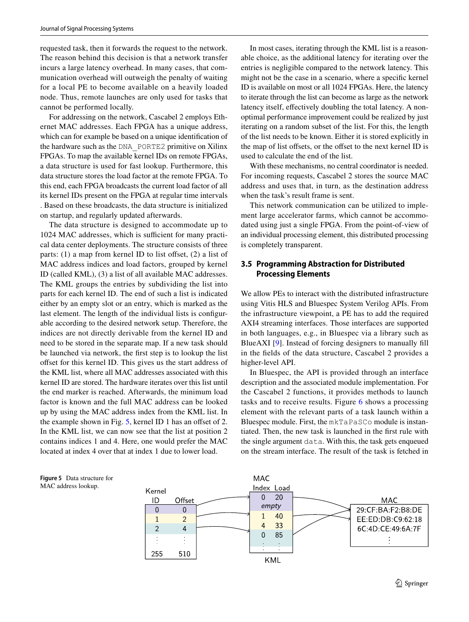requested task, then it forwards the request to the network. The reason behind this decision is that a network transfer incurs a large latency overhead. In many cases, that communication overhead will outweigh the penalty of waiting for a local PE to become available on a heavily loaded node. Thus, remote launches are only used for tasks that cannot be performed locally.

For addressing on the network, Cascabel 2 employs Ethernet MAC addresses. Each FPGA has a unique address, which can for example be based on a unique identifcation of the hardware such as the DNA\_PORTE2 primitive on Xilinx FPGAs. To map the available kernel IDs on remote FPGAs, a data structure is used for fast lookup. Furthermore, this data structure stores the load factor at the remote FPGA. To this end, each FPGA broadcasts the current load factor of all its kernel IDs present on the FPGA at regular time intervals . Based on these broadcasts, the data structure is initialized on startup, and regularly updated afterwards.

The data structure is designed to accommodate up to 1024 MAC addresses, which is sufficient for many practical data center deployments. The structure consists of three parts:  $(1)$  a map from kernel ID to list offset,  $(2)$  a list of MAC address indices and load factors, grouped by kernel ID (called KML), (3) a list of all available MAC addresses. The KML groups the entries by subdividing the list into parts for each kernel ID. The end of such a list is indicated either by an empty slot or an entry, which is marked as the last element. The length of the individual lists is confgurable according to the desired network setup. Therefore, the indices are not directly derivable from the kernel ID and need to be stored in the separate map. If a new task should be launched via network, the frst step is to lookup the list ofset for this kernel ID. This gives us the start address of the KML list, where all MAC addresses associated with this kernel ID are stored. The hardware iterates over this list until the end marker is reached. Afterwards, the minimum load factor is known and the full MAC address can be looked up by using the MAC address index from the KML list. In the example shown in Fig.  $5$ , kernel ID 1 has an offset of 2. In the KML list, we can now see that the list at position 2 contains indices 1 and 4. Here, one would prefer the MAC located at index 4 over that at index 1 due to lower load.

In most cases, iterating through the KML list is a reasonable choice, as the additional latency for iterating over the entries is negligible compared to the network latency. This might not be the case in a scenario, where a specifc kernel ID is available on most or all 1024 FPGAs. Here, the latency to iterate through the list can become as large as the network latency itself, effectively doubling the total latency. A nonoptimal performance improvement could be realized by just iterating on a random subset of the list. For this, the length of the list needs to be known. Either it is stored explicitly in the map of list offsets, or the offset to the next kernel ID is used to calculate the end of the list.

With these mechanisms, no central coordinator is needed. For incoming requests, Cascabel 2 stores the source MAC address and uses that, in turn, as the destination address when the task's result frame is sent.

This network communication can be utilized to implement large accelerator farms, which cannot be accommodated using just a single FPGA. From the point-of-view of an individual processing element, this distributed processing is completely transparent.

### **3.5 Programming Abstraction for Distributed Processing Elements**

We allow PEs to interact with the distributed infrastructure using Vitis HLS and Bluespec System Verilog APIs. From the infrastructure viewpoint, a PE has to add the required AXI4 streaming interfaces. Those interfaces are supported in both languages, e.g., in Bluespec via a library such as BlueAXI [[9\]](#page-9-9). Instead of forcing designers to manually fll in the felds of the data structure, Cascabel 2 provides a higher-level API.

In Bluespec, the API is provided through an interface description and the associated module implementation. For the Cascabel 2 functions, it provides methods to launch tasks and to receive results. Figure [6](#page-5-1) shows a processing element with the relevant parts of a task launch within a Bluespec module. First, the mkTaPaSCo module is instantiated. Then, the new task is launched in the frst rule with the single argument data. With this, the task gets enqueued on the stream interface. The result of the task is fetched in



<span id="page-4-0"></span>**Figure 5** Data structure for MAC address lookup.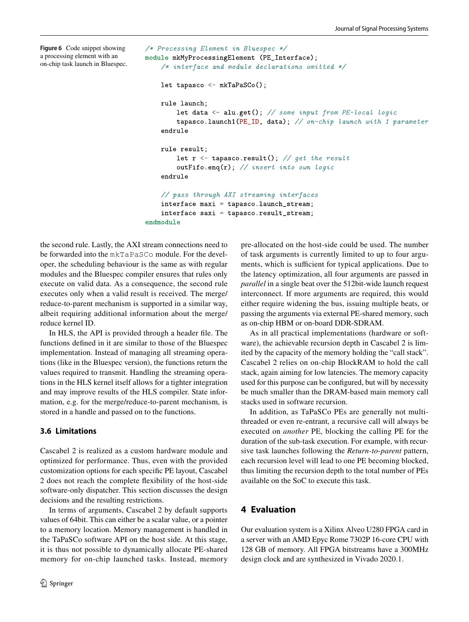<span id="page-5-1"></span>**Figure 6** Code snippet showing a processing element with an on-chip task launch in Bluespec.

```
/* Processing Element in Bluespec */
module mkMyProcessingElement (PE_Interface);
    /* interface and module declarations omitted */
    let tapasco \leq mkTaPaSCo();
    rule launch;
        let data <- alu.get(); // some input from PE-local logic
        tapasco.launch1(PE_ID, data); // on-chip launch with 1 parameter
    endrule
    rule result:
        let r <- tapasco.result(); // get the result
        outFifo.enq(r); // insert into own logic
    endrule
    // pass through AXI streaming interfaces
    interface maxi = tapasco.launch_stream;
    interface saxi = tapasco.result_stream;
endmodule
```
the second rule. Lastly, the AXI stream connections need to be forwarded into the mkTaPaSCo module. For the developer, the scheduling behaviour is the same as with regular modules and the Bluespec compiler ensures that rules only execute on valid data. As a consequence, the second rule executes only when a valid result is received. The merge/ reduce-to-parent mechanism is supported in a similar way, albeit requiring additional information about the merge/ reduce kernel ID.

In HLS, the API is provided through a header fle. The functions defned in it are similar to those of the Bluespec implementation. Instead of managing all streaming operations (like in the Bluespec version), the functions return the values required to transmit. Handling the streaming operations in the HLS kernel itself allows for a tighter integration and may improve results of the HLS compiler. State information, e.g. for the merge/reduce-to-parent mechanism, is stored in a handle and passed on to the functions.

# <span id="page-5-2"></span>**3.6 Limitations**

Cascabel 2 is realized as a custom hardware module and optimized for performance. Thus, even with the provided customization options for each specifc PE layout, Cascabel 2 does not reach the complete fexibility of the host-side software-only dispatcher. This section discusses the design decisions and the resulting restrictions.

In terms of arguments, Cascabel 2 by default supports values of 64bit. This can either be a scalar value, or a pointer to a memory location. Memory management is handled in the TaPaSCo software API on the host side. At this stage, it is thus not possible to dynamically allocate PE-shared memory for on-chip launched tasks. Instead, memory pre-allocated on the host-side could be used. The number of task arguments is currently limited to up to four arguments, which is sufficient for typical applications. Due to the latency optimization, all four arguments are passed in *parallel* in a single beat over the 512bit-wide launch request interconnect. If more arguments are required, this would either require widening the bus, issuing multiple beats, or passing the arguments via external PE-shared memory, such as on-chip HBM or on-board DDR-SDRAM.

As in all practical implementations (hardware or software), the achievable recursion depth in Cascabel 2 is limited by the capacity of the memory holding the "call stack". Cascabel 2 relies on on-chip BlockRAM to hold the call stack, again aiming for low latencies. The memory capacity used for this purpose can be confgured, but will by necessity be much smaller than the DRAM-based main memory call stacks used in software recursion.

In addition, as TaPaSCo PEs are generally not multithreaded or even re-entrant, a recursive call will always be executed on *another* PE, blocking the calling PE for the duration of the sub-task execution. For example, with recursive task launches following the *Return-to-parent* pattern, each recursion level will lead to one PE becoming blocked, thus limiting the recursion depth to the total number of PEs available on the SoC to execute this task.

# <span id="page-5-0"></span>**4 Evaluation**

Our evaluation system is a Xilinx Alveo U280 FPGA card in a server with an AMD Epyc Rome 7302P 16-core CPU with 128 GB of memory. All FPGA bitstreams have a 300MHz design clock and are synthesized in Vivado 2020.1.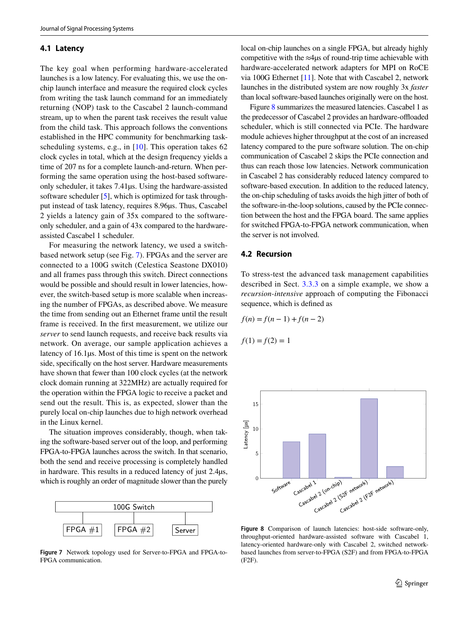#### **4.1 Latency**

The key goal when performing hardware-accelerated launches is a low latency. For evaluating this, we use the onchip launch interface and measure the required clock cycles from writing the task launch command for an immediately returning (NOP) task to the Cascabel 2 launch-command stream, up to when the parent task receives the result value from the child task. This approach follows the conventions established in the HPC community for benchmarking taskscheduling systems, e.g., in [[10](#page-9-10)]. This operation takes 62 clock cycles in total, which at the design frequency yields a time of 207 ns for a complete launch-and-return. When performing the same operation using the host-based softwareonly scheduler, it takes 7.41µs. Using the hardware-assisted software scheduler [\[5](#page-9-5)], which is optimized for task throughput instead of task latency, requires 8.96µs. Thus, Cascabel 2 yields a latency gain of 35x compared to the softwareonly scheduler, and a gain of 43x compared to the hardwareassisted Cascabel 1 scheduler.

For measuring the network latency, we used a switchbased network setup (see Fig. [7](#page-6-1)). FPGAs and the server are connected to a 100G switch (Celestica Seastone DX010) and all frames pass through this switch. Direct connections would be possible and should result in lower latencies, however, the switch-based setup is more scalable when increasing the number of FPGAs, as described above. We measure the time from sending out an Ethernet frame until the result frame is received. In the frst measurement, we utilize our *server* to send launch requests, and receive back results via network. On average, our sample application achieves a latency of 16.1µs. Most of this time is spent on the network side, specifcally on the host server. Hardware measurements have shown that fewer than 100 clock cycles (at the network clock domain running at 322MHz) are actually required for the operation within the FPGA logic to receive a packet and send out the result. This is, as expected, slower than the purely local on-chip launches due to high network overhead in the Linux kernel.

The situation improves considerably, though, when taking the software-based server out of the loop, and performing FPGA-to-FPGA launches across the switch. In that scenario, both the send and receive processing is completely handled in hardware. This results in a reduced latency of just 2.4µs, which is roughly an order of magnitude slower than the purely



<span id="page-6-1"></span>**Figure 7** Network topology used for Server-to-FPGA and FPGA-to-FPGA communication.

local on-chip launches on a single FPGA, but already highly competitive with the  $\approx$ 4µs of round-trip time achievable with hardware-accelerated network adapters for MPI on RoCE via 100G Ethernet [\[11](#page-9-11)]. Note that with Cascabel 2, network launches in the distributed system are now roughly 3x *faster* than local software-based launches originally were on the host.

Figure [8](#page-6-2) summarizes the measured latencies. Cascabel 1 as the predecessor of Cascabel 2 provides an hardware-offloaded scheduler, which is still connected via PCIe. The hardware module achieves higher throughput at the cost of an increased latency compared to the pure software solution. The on-chip communication of Cascabel 2 skips the PCIe connection and thus can reach those low latencies. Network communication in Cascabel 2 has considerably reduced latency compared to software-based execution. In addition to the reduced latency, the on-chip scheduling of tasks avoids the high jitter of both of the software-in-the-loop solutions, caused by the PCIe connection between the host and the FPGA board. The same applies for switched FPGA-to-FPGA network communication, when the server is not involved.

#### <span id="page-6-0"></span>**4.2 Recursion**

To stress-test the advanced task management capabilities described in Sect. [3.3.3](#page-3-1) on a simple example, we show a *recursion-intensive* approach of computing the Fibonacci sequence, which is defned as

$$
f(n) = f(n-1) + f(n-2)
$$

$$
f(1) = f(2) = 1
$$



<span id="page-6-2"></span>Figure 8 Comparison of launch latencies: host-side software-only, throughput-oriented hardware-assisted software with Cascabel 1, latency-oriented hardware-only with Cascabel 2, switched networkbased launches from server-to-FPGA (S2F) and from FPGA-to-FPGA (F2F).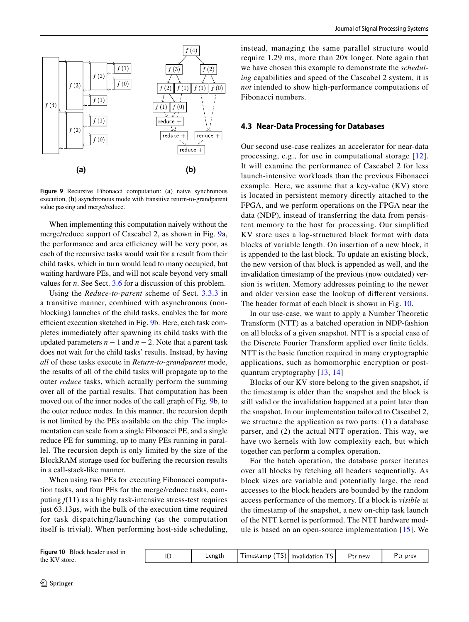

<span id="page-7-0"></span>**Figure 9** Recursive Fibonacci computation: (**a**) naive synchronous execution, (**b**) asynchronous mode with transitive return-to-grandparent value passing and merge/reduce.

When implementing this computation naively without the merge/reduce support of Cascabel 2, as shown in Fig. [9](#page-7-0)a, the performance and area efficiency will be very poor, as each of the recursive tasks would wait for a result from their child tasks, which in turn would lead to many occupied, but waiting hardware PEs, and will not scale beyond very small values for *n*. See Sect. [3.6](#page-5-2) for a discussion of this problem.

Using the *Reduce-to-parent* scheme of Sect. [3.3.3](#page-3-1) in a transitive manner, combined with asynchronous (nonblocking) launches of the child tasks, enables the far more efficient execution sketched in Fig. [9b](#page-7-0). Here, each task completes immediately after spawning its child tasks with the updated parameters  $n - 1$  and  $n - 2$ . Note that a parent task does not wait for the child tasks' results. Instead, by having *all* of these tasks execute in *Return-to-grandparent* mode, the results of all of the child tasks will propagate up to the outer *reduce* tasks, which actually perform the summing over all of the partial results. That computation has been moved out of the inner nodes of the call graph of Fig. [9](#page-7-0)b, to the outer reduce nodes. In this manner, the recursion depth is not limited by the PEs available on the chip. The implementation can scale from a single Fibonacci PE, and a single reduce PE for summing, up to many PEs running in parallel. The recursion depth is only limited by the size of the BlockRAM storage used for buffering the recursion results in a call-stack-like manner.

When using two PEs for executing Fibonacci computation tasks, and four PEs for the merge/reduce tasks, computing *f*(11) as a highly task-intensive stress-test requires just 63.13µs, with the bulk of the execution time required for task dispatching/launching (as the computation itself is trivial). When performing host-side scheduling,

instead, managing the same parallel structure would require 1.29 ms, more than 20x longer. Note again that we have chosen this example to demonstrate the *scheduling* capabilities and speed of the Cascabel 2 system, it is *not* intended to show high-performance computations of Fibonacci numbers.

#### **4.3 Near‑Data Processing for Databases**

Our second use-case realizes an accelerator for near-data processing, e.g., for use in computational storage [\[12](#page-9-12)]. It will examine the performance of Cascabel 2 for less launch-intensive workloads than the previous Fibonacci example. Here, we assume that a key-value (KV) store is located in persistent memory directly attached to the FPGA, and we perform operations on the FPGA near the data (NDP), instead of transferring the data from persistent memory to the host for processing. Our simplifed KV store uses a log-structured block format with data blocks of variable length. On insertion of a new block, it is appended to the last block. To update an existing block, the new version of that block is appended as well, and the invalidation timestamp of the previous (now outdated) version is written. Memory addresses pointing to the newer and older version ease the lookup of diferent versions. The header format of each block is shown in Fig. [10.](#page-7-1)

In our use-case, we want to apply a Number Theoretic Transform (NTT) as a batched operation in NDP-fashion on all blocks of a given snapshot. NTT is a special case of the Discrete Fourier Transform applied over fnite felds. NTT is the basic function required in many cryptographic applications, such as homomorphic encryption or postquantum cryptography [[13](#page-9-13), [14\]](#page-9-14)

Blocks of our KV store belong to the given snapshot, if the timestamp is older than the snapshot and the block is still valid or the invalidation happened at a point later than the snapshot. In our implementation tailored to Cascabel 2, we structure the application as two parts: (1) a database parser, and (2) the actual NTT operation. This way, we have two kernels with low complexity each, but which together can perform a complex operation.

For the batch operation, the database parser iterates over all blocks by fetching all headers sequentially. As block sizes are variable and potentially large, the read accesses to the block headers are bounded by the random access performance of the memory. If a block is *visible* at the timestamp of the snapshot, a new on-chip task launch of the NTT kernel is performed. The NTT hardware module is based on an open-source implementation [[15\]](#page-9-15). We

<span id="page-7-1"></span>

| Figure 10 Block header used in<br>the KV<br>' store. | ∟ength | imestamp<br>$\mathcal{L}$ | $\overline{r}$<br>' Invalidation | Ptr new | Ptr prev |
|------------------------------------------------------|--------|---------------------------|----------------------------------|---------|----------|
|                                                      |        |                           |                                  |         |          |

the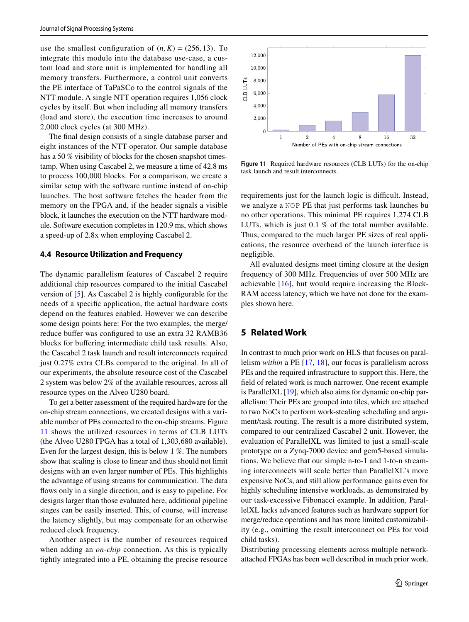use the smallest configuration of  $(n, K) = (256, 13)$ . To integrate this module into the database use-case, a custom load and store unit is implemented for handling all memory transfers. Furthermore, a control unit converts the PE interface of TaPaSCo to the control signals of the NTT module. A single NTT operation requires 1,056 clock cycles by itself. But when including all memory transfers (load and store), the execution time increases to around 2,000 clock cycles (at 300 MHz).

The fnal design consists of a single database parser and eight instances of the NTT operator. Our sample database has a 50 % visibility of blocks for the chosen snapshot timestamp. When using Cascabel 2, we measure a time of 42.8 ms to process 100,000 blocks. For a comparison, we create a similar setup with the software runtime instead of on-chip launches. The host software fetches the header from the memory on the FPGA and, if the header signals a visible block, it launches the execution on the NTT hardware module. Software execution completes in 120.9 ms, which shows a speed-up of 2.8x when employing Cascabel 2.

#### **4.4 Resource Utilization and Frequency**

The dynamic parallelism features of Cascabel 2 require additional chip resources compared to the initial Cascabel version of [[5\]](#page-9-5). As Cascabel 2 is highly confgurable for the needs of a specifc application, the actual hardware costs depend on the features enabled. However we can describe some design points here: For the two examples, the merge/ reduce buffer was configured to use an extra 32 RAMB36 blocks for bufering intermediate child task results. Also, the Cascabel 2 task launch and result interconnects required just 0.27% extra CLBs compared to the original. In all of our experiments, the absolute resource cost of the Cascabel 2 system was below 2% of the available resources, across all resource types on the Alveo U280 board.

To get a better assessment of the required hardware for the on-chip stream connections, we created designs with a variable number of PEs connected to the on-chip streams. Figure [11](#page-8-1) shows the utilized resources in terms of CLB LUTs (the Alveo U280 FPGA has a total of 1,303,680 available). Even for the largest design, this is below 1 %. The numbers show that scaling is close to linear and thus should not limit designs with an even larger number of PEs. This highlights the advantage of using streams for communication. The data fows only in a single direction, and is easy to pipeline. For designs larger than those evaluated here, additional pipeline stages can be easily inserted. This, of course, will increase the latency slightly, but may compensate for an otherwise reduced clock frequency.

Another aspect is the number of resources required when adding an *on-chip* connection. As this is typically tightly integrated into a PE, obtaining the precise resource



<span id="page-8-1"></span>**Figure 11** Required hardware resources (CLB LUTs) for the on-chip task launch and result interconnects.

requirements just for the launch logic is difficult. Instead, we analyze a NOP PE that just performs task launches bu no other operations. This minimal PE requires 1,274 CLB LUTs, which is just 0.1 % of the total number available. Thus, compared to the much larger PE sizes of real applications, the resource overhead of the launch interface is negligible.

All evaluated designs meet timing closure at the design frequency of 300 MHz. Frequencies of over 500 MHz are achievable [[16](#page-10-0)], but would require increasing the Block-RAM access latency, which we have not done for the examples shown here.

# <span id="page-8-0"></span>**5 Related Work**

In contrast to much prior work on HLS that focuses on parallelism *within* a PE [[17](#page-10-1), [18](#page-10-2)], our focus is parallelism across PEs and the required infrastructure to support this. Here, the feld of related work is much narrower. One recent example is ParallelXL [[19\]](#page-10-3), which also aims for dynamic on-chip parallelism: Their PEs are grouped into tiles, which are attached to two NoCs to perform work-stealing scheduling and argument/task routing. The result is a more distributed system, compared to our centralized Cascabel 2 unit. However, the evaluation of ParallelXL was limited to just a small-scale prototype on a Zynq-7000 device and gem5-based simulations. We believe that our simple n-to-1 and 1-to-n streaming interconnects will scale better than ParallelXL's more expensive NoCs, and still allow performance gains even for highly scheduling intensive workloads, as demonstrated by our task-excessive Fibonacci example. In addition, ParallelXL lacks advanced features such as hardware support for merge/reduce operations and has more limited customizability (e.g., omitting the result interconnect on PEs for void child tasks).

Distributing processing elements across multiple networkattached FPGAs has been well described in much prior work.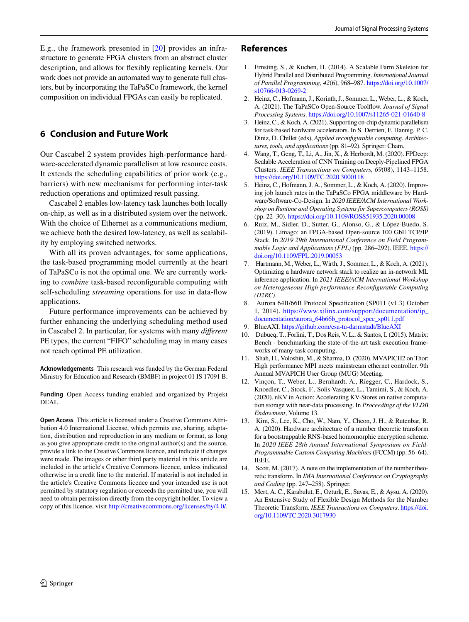E.g., the framework presented in [[20\]](#page-10-4) provides an infrastructure to generate FPGA clusters from an abstract cluster description, and allows for fexibly replicating kernels. Our work does not provide an automated way to generate full clusters, but by incorporating the TaPaSCo framework, the kernel composition on individual FPGAs can easily be replicated.

# <span id="page-9-3"></span>**6 Conclusion and Future Work**

Our Cascabel 2 system provides high-performance hardware-accelerated dynamic parallelism at low resource costs. It extends the scheduling capabilities of prior work (e.g., barriers) with new mechanisms for performing inter-task reduction operations and optimized result passing.

Cascabel 2 enables low-latency task launches both locally on-chip, as well as in a distributed system over the network. With the choice of Ethernet as a communications medium, we achieve both the desired low-latency, as well as scalability by employing switched networks.

With all its proven advantages, for some applications, the task-based programming model currently at the heart of TaPaSCo is not the optimal one. We are currently working to *combine* task-based reconfigurable computing with self-scheduling *streaming* operations for use in data-fow applications.

Future performance improvements can be achieved by further enhancing the underlying scheduling method used in Cascabel 2. In particular, for systems with many *diferent* PE types, the current "FIFO" scheduling may in many cases not reach optimal PE utilization.

**Acknowledgements** This research was funded by the German Federal Ministry for Education and Research (BMBF) in project 01 IS 17091 B.

**Funding** Open Access funding enabled and organized by Projekt DEAL.

**Open Access** This article is licensed under a Creative Commons Attribution 4.0 International License, which permits use, sharing, adaptation, distribution and reproduction in any medium or format, as long as you give appropriate credit to the original author(s) and the source, provide a link to the Creative Commons licence, and indicate if changes were made. The images or other third party material in this article are included in the article's Creative Commons licence, unless indicated otherwise in a credit line to the material. If material is not included in the article's Creative Commons licence and your intended use is not permitted by statutory regulation or exceeds the permitted use, you will need to obtain permission directly from the copyright holder. To view a copy of this licence, visit <http://creativecommons.org/licenses/by/4.0/>.

# **References**

- <span id="page-9-0"></span>1. Ernsting, S., & Kuchen, H. (2014). A Scalable Farm Skeleton for Hybrid Parallel and Distributed Programming. *International Journal of Parallel Programming, 42*(6), 968–987. [https://doi.org/10.1007/](https://doi.org/10.1007/s10766-013-0269-2) [s10766-013-0269-2](https://doi.org/10.1007/s10766-013-0269-2)
- <span id="page-9-1"></span>2. Heinz, C., Hofmann, J., Korinth, J., Sommer, L., Weber, L., & Koch, A. (2021). The TaPaSCo Open-Source Toolfow. *Journal of Signal Processing Systems*.<https://doi.org/10.1007/s11265-021-01640-8>
- <span id="page-9-2"></span>3. Heinz, C., & Koch, A. (2021). Supporting on-chip dynamic parallelism for task-based hardware accelerators. In S. Derrien, F. Hannig, P. C. Diniz, D. Chillet (eds), *Applied reconfgurable computing. Architectures, tools, and applications* (pp. 81–92). Springer: Cham.
- <span id="page-9-4"></span>4. Wang, T., Geng, T., Li, A., Jin, X., & Herbordt, M. (2020). FPDeep: Scalable Acceleration of CNN Training on Deeply-Pipelined FPGA Clusters. *IEEE Transactions on Computers, 69*(08), 1143–1158. <https://doi.org/10.1109/TC.2020.3000118>
- <span id="page-9-5"></span>5. Heinz, C., Hofmann, J. A., Sommer, L., & Koch, A. (2020). Improving job launch rates in the TaPaSCo FPGA middleware by Hardware/Software-Co-Design. In *2020 IEEE/ACM International Workshop on Runtime and Operating Systems for Supercomputers (ROSS)* (pp. 22–30).<https://doi.org/10.1109/ROSS51935.2020.00008>
- <span id="page-9-6"></span>6. Ruiz, M., Sidler, D., Sutter, G., Alonso, G., & López-Buedo, S. (2019). Limago: an FPGA-based Open-source 100 GbE TCP/IP Stack. In *2019 29th International Conference on Field Programmable Logic and Applications (FPL)* (pp. 286–292). IEEE. [https://](https://doi.org/10.1109/FPL.2019.00053) [doi.org/10.1109/FPL.2019.00053](https://doi.org/10.1109/FPL.2019.00053)
- <span id="page-9-7"></span>7. Hartmann, M., Weber, L., Wirth, J., Sommer, L., & Koch, A. (2021). Optimizing a hardware network stack to realize an in-network ML inference application. In *2021 IEEE/ACM International Workshop on Heterogeneous High-performance Reconfgurable Computing (H2RC)*.
- <span id="page-9-8"></span>8. Aurora 64B/66B Protocol Specifcation (SP011 (v1.3) October 1, 2014). [https://www.xilinx.com/support/documentation/ip\\_](https://www.xilinx.com/support/documentation/ip_documentation/aurora_64b66b_protocol_spec_sp011.pdf) [documentation/aurora\\_64b66b\\_protocol\\_spec\\_sp011.pdf](https://www.xilinx.com/support/documentation/ip_documentation/aurora_64b66b_protocol_spec_sp011.pdf)
- <span id="page-9-9"></span>9. BlueAXI. <https://github.com/esa-tu-darmstadt/BlueAXI>
- <span id="page-9-10"></span>10. Dubucq, T., Forlini, T., Dos Reis, V. L., & Santos, I. (2015). Matrix: Bench - benchmarking the state-of-the-art task execution frameworks of many-task computing.
- <span id="page-9-11"></span>11. Shah, H., Voloshin, M., & Sharma, D. (2020). MVAPICH2 on Thor: High performance MPI meets mainstream ethernet controller. 9th Annual MVAPICH User Group (MUG) Meeting.
- <span id="page-9-12"></span>12. Vinçon, T., Weber, L., Bernhardt, A., Riegger, C., Hardock, S., Knoedler, C., Stock, F., Solis-Vasquez, L., Tamimi, S., & Koch, A. (2020). nKV in Action: Accelerating KV-Stores on native computation storage with near-data processing. In *Proceedings of the VLDB Endowment*, Volume 13.
- <span id="page-9-13"></span>13. Kim, S., Lee, K., Cho, W., Nam, Y., Cheon, J. H., & Rutenbar, R. A. (2020). Hardware architecture of a number theoretic transform for a bootstrappable RNS-based homomorphic encryption scheme. In *2020 IEEE 28th Annual International Symposium on Field-Programmable Custom Computing Machines* (FCCM) (pp. 56–64). IEEE.
- <span id="page-9-14"></span>14. Scott, M. (2017). A note on the implementation of the number theoretic transform. In *IMA International Conference on Cryptography and Coding* (pp. 247–258). Springer.
- <span id="page-9-15"></span>15. Mert, A. C., Karabulut, E., Ozturk, E., Savas, E., & Aysu, A. (2020). An Extensive Study of Flexible Design Methods for the Number Theoretic Transform. *IEEE Transactions on Computers*. [https://doi.](https://doi.org/10.1109/TC.2020.3017930) [org/10.1109/TC.2020.3017930](https://doi.org/10.1109/TC.2020.3017930)